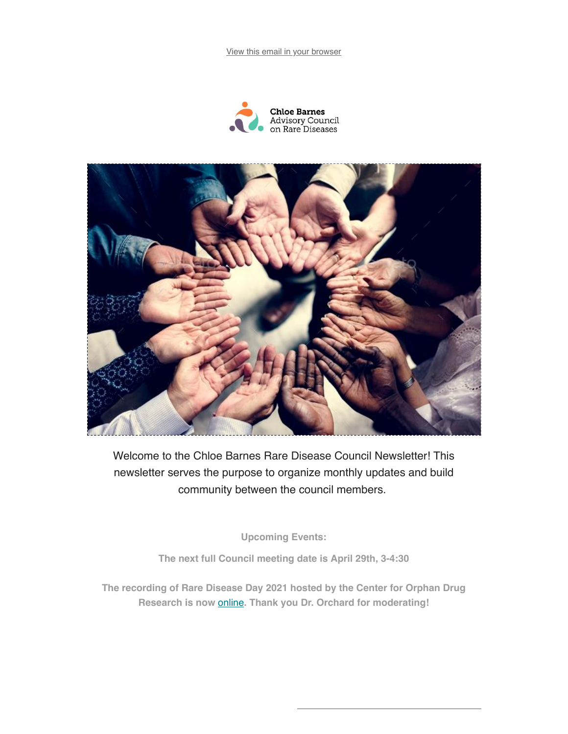View this email in your browser





Welcome to the Chloe Barnes Rare Disease Council Newsletter! This newsletter serves the purpose to organize monthly updates and build community between the council members.

**Upcoming Events:** 

The next full Council meeting date is April 29th, 3-4:30

The recording of Rare Disease Day 2021 hosted by the Center for Orphan Drug Research is now online. Thank you Dr. Orchard for moderating!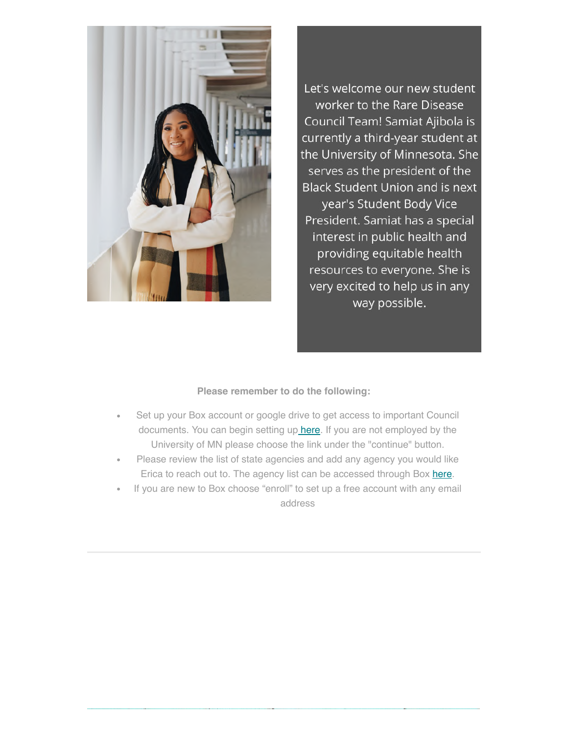

Let's welcome our new student worker to the Rare Disease Council Team! Samiat Ajibola is currently a third-year student at the University of Minnesota. She serves as the president of the **Black Student Union and is next** year's Student Body Vice President. Samiat has a special interest in public health and providing equitable health resources to everyone. She is very excited to help us in any way possible.

## Please remember to do the following:

- Set up your Box account or google drive to get access to important Council documents. You can begin setting up here. If you are not employed by the University of MN please choose the link under the "continue" button.
- Please review the list of state agencies and add any agency you would like Erica to reach out to. The agency list can be accessed through Box here.
- If you are new to Box choose "enroll" to set up a free account with any email address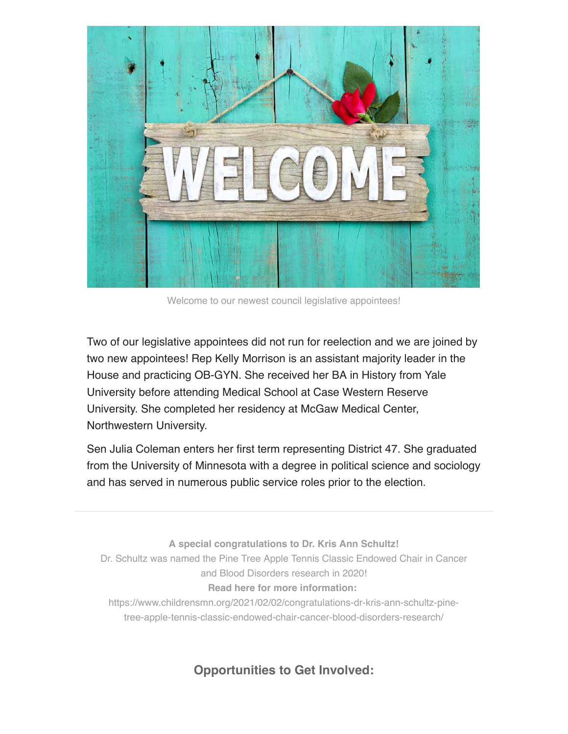

Welcome to our newest council legislative appointees!

Two of our legislative appointees did not run for reelection and we are joined by two new appointees! Rep Kelly Morrison is an assistant majority leader in the House and practicing OB-GYN. She received her BA in History from Yale University before attending Medical School at Case Western Reserve University. She completed her residency at McGaw Medical Center, Northwestern University.

Sen Julia Coleman enters her first term representing District 47. She graduated from the University of Minnesota with a degree in political science and sociology and has served in numerous public service roles prior to the election.

A special congratulations to Dr. Kris Ann Schultz! Dr. Schultz was named the Pine Tree Apple Tennis Classic Endowed Chair in Cancer and Blood Disorders research in 2020! Read here for more information: https://www.childrensmn.org/2021/02/02/congratulations-dr-kris-ann-schultz-pinetree-apple-tennis-classic-endowed-chair-cancer-blood-disorders-research/

**Opportunities to Get Involved:**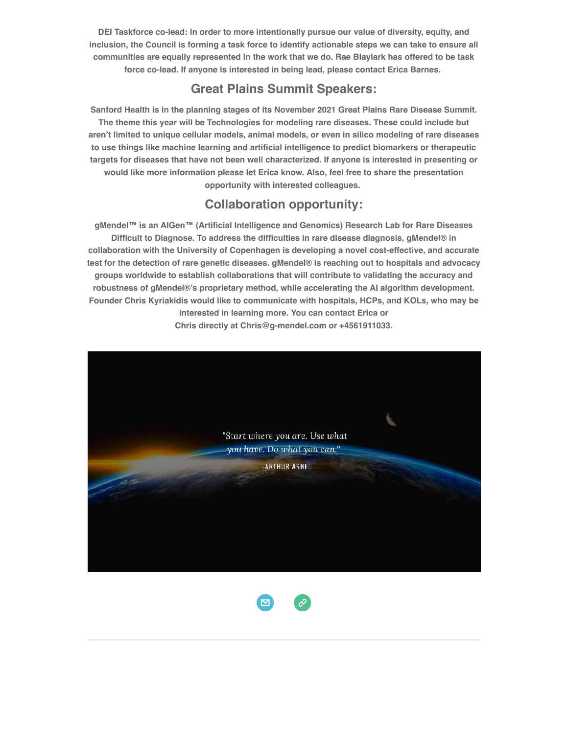DEI Taskforce co-lead: In order to more intentionally pursue our value of diversity, equity, and inclusion, the Council is forming a task force to identify actionable steps we can take to ensure all communities are equally represented in the work that we do. Rae Blaylark has offered to be task force co-lead. If anyone is interested in being lead, please contact Erica Barnes.

## **Great Plains Summit Speakers:**

Sanford Health is in the planning stages of its November 2021 Great Plains Rare Disease Summit. The theme this year will be Technologies for modeling rare diseases. These could include but aren't limited to unique cellular models, animal models, or even in silico modeling of rare diseases to use things like machine learning and artificial intelligence to predict biomarkers or therapeutic targets for diseases that have not been well characterized. If anyone is interested in presenting or would like more information please let Erica know. Also, feel free to share the presentation opportunity with interested colleagues.

## Collaboration opportunity:

gMendel™ is an AlGen™ (Artificial Intelligence and Genomics) Research Lab for Rare Diseases Difficult to Diagnose. To address the difficulties in rare disease diagnosis, gMendel® in collaboration with the University of Copenhagen is developing a novel cost-effective, and accurate test for the detection of rare genetic diseases. gMendel® is reaching out to hospitals and advocacy groups worldwide to establish collaborations that will contribute to validating the accuracy and robustness of gMendel®·s proprietary method, while accelerating the AI algorithm development. Founder Chris Kyriakidis would like to communicate with hospitals, HCPs, and KOLs, who may be interested in learning more. You can contact Erica or

Chris directly at Chris@g-mendel.com or +4561911033.